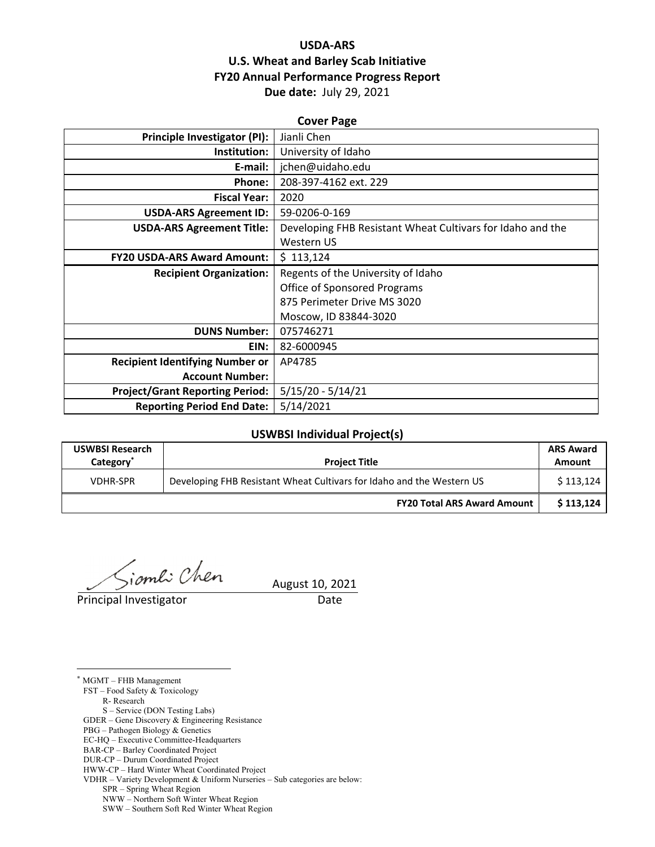# **USDA‐ARS U.S. Wheat and Barley Scab Initiative FY20 Annual Performance Progress Report Due date:** July 29, 2021

| <b>Cover Page</b>                      |                                                            |  |  |  |
|----------------------------------------|------------------------------------------------------------|--|--|--|
| Principle Investigator (PI):           | Jianli Chen                                                |  |  |  |
| Institution:                           | University of Idaho                                        |  |  |  |
| E-mail:                                | jchen@uidaho.edu                                           |  |  |  |
| Phone:                                 | 208-397-4162 ext. 229                                      |  |  |  |
| <b>Fiscal Year:</b>                    | 2020                                                       |  |  |  |
| <b>USDA-ARS Agreement ID:</b>          | 59-0206-0-169                                              |  |  |  |
| <b>USDA-ARS Agreement Title:</b>       | Developing FHB Resistant Wheat Cultivars for Idaho and the |  |  |  |
|                                        | Western US                                                 |  |  |  |
| <b>FY20 USDA-ARS Award Amount:</b>     | \$113,124                                                  |  |  |  |
| <b>Recipient Organization:</b>         | Regents of the University of Idaho                         |  |  |  |
|                                        | <b>Office of Sponsored Programs</b>                        |  |  |  |
|                                        | 875 Perimeter Drive MS 3020                                |  |  |  |
|                                        | Moscow, ID 83844-3020                                      |  |  |  |
| <b>DUNS Number:</b>                    | 075746271                                                  |  |  |  |
| EIN:                                   | 82-6000945                                                 |  |  |  |
| <b>Recipient Identifying Number or</b> | AP4785                                                     |  |  |  |
| <b>Account Number:</b>                 |                                                            |  |  |  |
| <b>Project/Grant Reporting Period:</b> | $5/15/20 - 5/14/21$                                        |  |  |  |
| <b>Reporting Period End Date:</b>      | 5/14/2021                                                  |  |  |  |

## **USWBSI Individual Project(s)**

| <b>USWBSI Research</b><br>Category <sup>*</sup> | <b>Project Title</b>                                                  | <b>ARS Award</b><br>Amount |
|-------------------------------------------------|-----------------------------------------------------------------------|----------------------------|
| <b>VDHR-SPR</b>                                 | Developing FHB Resistant Wheat Cultivars for Idaho and the Western US |                            |
|                                                 | <b>FY20 Total ARS Award Amount</b>                                    | \$113.124                  |

ioml: Chen<br>August 10, 2021

Principal Investigator **Date** 

 $\overline{a}$ 

\* MGMT – FHB Management FST – Food Safety & Toxicology R- Research S – Service (DON Testing Labs) GDER – Gene Discovery & Engineering Resistance PBG – Pathogen Biology & Genetics EC-HQ – Executive Committee-Headquarters BAR-CP – Barley Coordinated Project

DUR-CP – Durum Coordinated Project

HWW-CP – Hard Winter Wheat Coordinated Project

VDHR – Variety Development & Uniform Nurseries – Sub categories are below:

SPR – Spring Wheat Region

NWW – Northern Soft Winter Wheat Region

SWW – Southern Soft Red Winter Wheat Region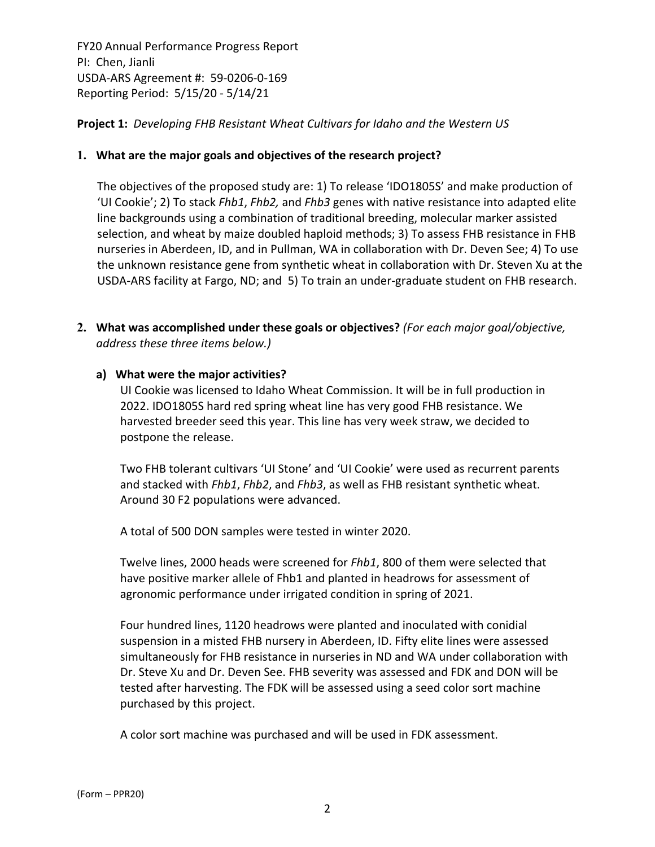# **Project 1:** *Developing FHB Resistant Wheat Cultivars for Idaho and the Western US*

#### **1. What are the major goals and objectives of the research project?**

The objectives of the proposed study are: 1) To release 'IDO1805S' and make production of 'UI Cookie'; 2) To stack *Fhb1*, *Fhb2,* and *Fhb3* genes with native resistance into adapted elite line backgrounds using a combination of traditional breeding, molecular marker assisted selection, and wheat by maize doubled haploid methods; 3) To assess FHB resistance in FHB nurseries in Aberdeen, ID, and in Pullman, WA in collaboration with Dr. Deven See; 4) To use the unknown resistance gene from synthetic wheat in collaboration with Dr. Steven Xu at the USDA‐ARS facility at Fargo, ND; and 5) To train an under‐graduate student on FHB research.

**2. What was accomplished under these goals or objectives?** *(For each major goal/objective, address these three items below.)*

#### **a) What were the major activities?**

UI Cookie was licensed to Idaho Wheat Commission. It will be in full production in 2022. IDO1805S hard red spring wheat line has very good FHB resistance. We harvested breeder seed this year. This line has very week straw, we decided to postpone the release.

Two FHB tolerant cultivars 'UI Stone' and 'UI Cookie' were used as recurrent parents and stacked with *Fhb1*, *Fhb2*, and *Fhb3*, as well as FHB resistant synthetic wheat. Around 30 F2 populations were advanced.

A total of 500 DON samples were tested in winter 2020.

Twelve lines, 2000 heads were screened for *Fhb1*, 800 of them were selected that have positive marker allele of Fhb1 and planted in headrows for assessment of agronomic performance under irrigated condition in spring of 2021.

Four hundred lines, 1120 headrows were planted and inoculated with conidial suspension in a misted FHB nursery in Aberdeen, ID. Fifty elite lines were assessed simultaneously for FHB resistance in nurseries in ND and WA under collaboration with Dr. Steve Xu and Dr. Deven See. FHB severity was assessed and FDK and DON will be tested after harvesting. The FDK will be assessed using a seed color sort machine purchased by this project.

A color sort machine was purchased and will be used in FDK assessment.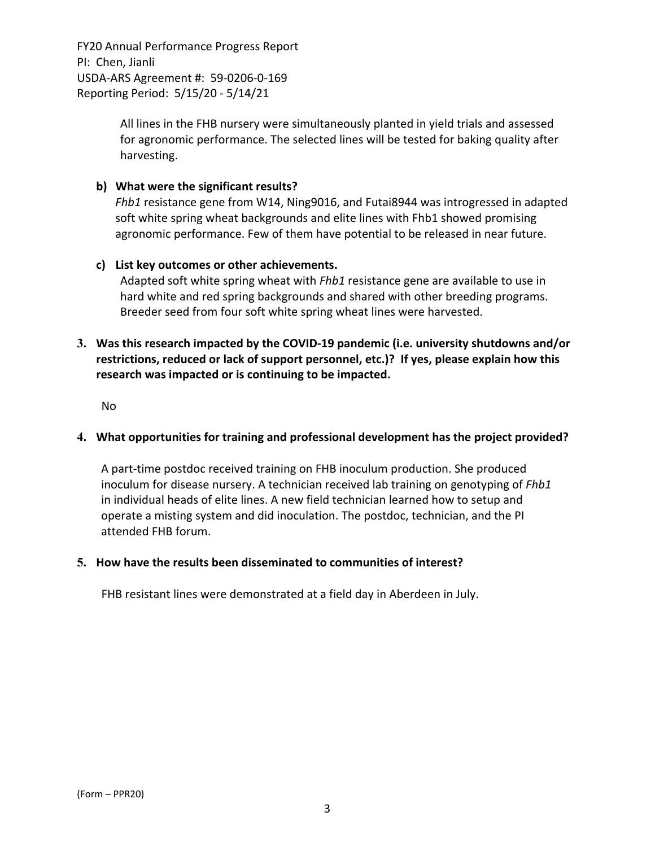> All lines in the FHB nursery were simultaneously planted in yield trials and assessed for agronomic performance. The selected lines will be tested for baking quality after harvesting.

## **b) What were the significant results?**

*Fhb1* resistance gene from W14, Ning9016, and Futai8944 was introgressed in adapted soft white spring wheat backgrounds and elite lines with Fhb1 showed promising agronomic performance. Few of them have potential to be released in near future.

#### **c) List key outcomes or other achievements.**

Adapted soft white spring wheat with *Fhb1* resistance gene are available to use in hard white and red spring backgrounds and shared with other breeding programs. Breeder seed from four soft white spring wheat lines were harvested.

# **3. Was this research impacted by the COVID‐19 pandemic (i.e. university shutdowns and/or restrictions, reduced or lack of support personnel, etc.)? If yes, please explain how this research was impacted or is continuing to be impacted.**

No

#### **4. What opportunities for training and professional development has the project provided?**

A part‐time postdoc received training on FHB inoculum production. She produced inoculum for disease nursery. A technician received lab training on genotyping of *Fhb1* in individual heads of elite lines. A new field technician learned how to setup and operate a misting system and did inoculation. The postdoc, technician, and the PI attended FHB forum.

#### **5. How have the results been disseminated to communities of interest?**

FHB resistant lines were demonstrated at a field day in Aberdeen in July.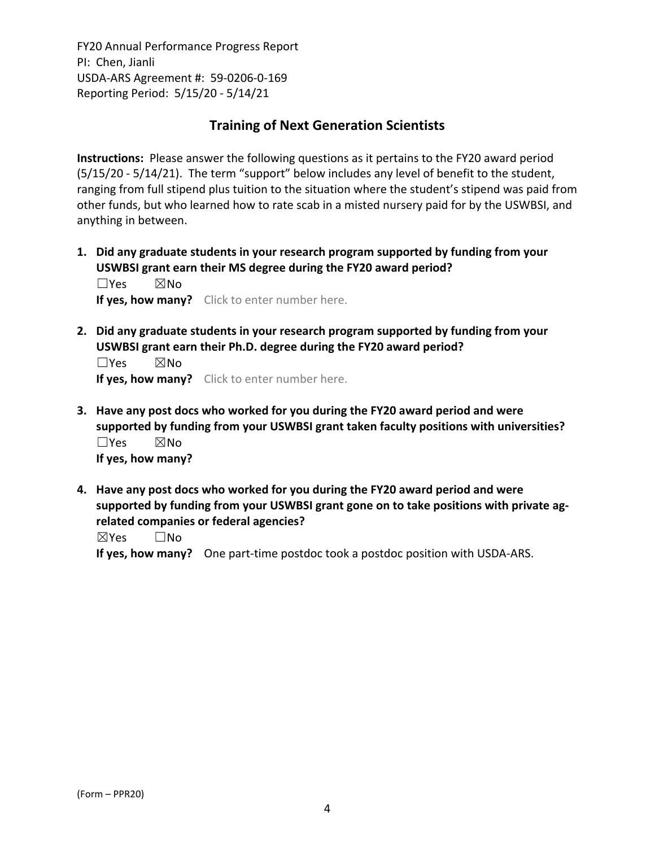# **Training of Next Generation Scientists**

**Instructions:** Please answer the following questions as it pertains to the FY20 award period (5/15/20 ‐ 5/14/21). The term "support" below includes any level of benefit to the student, ranging from full stipend plus tuition to the situation where the student's stipend was paid from other funds, but who learned how to rate scab in a misted nursery paid for by the USWBSI, and anything in between.

**1. Did any graduate students in your research program supported by funding from your USWBSI grant earn their MS degree during the FY20 award period?** ☐Yes ☒No

**If yes, how many?** Click to enter number here.

**2. Did any graduate students in your research program supported by funding from your USWBSI grant earn their Ph.D. degree during the FY20 award period?**

☐Yes ☒No **If yes, how many?** Click to enter number here.

- **3. Have any post docs who worked for you during the FY20 award period and were supported by funding from your USWBSI grant taken faculty positions with universities?** ☐Yes ☒No **If yes, how many?**
- **4. Have any post docs who worked for you during the FY20 award period and were supported by funding from your USWBSI grant gone on to take positions with private ag‐ related companies or federal agencies?**

☒Yes ☐No

**If yes, how many?** One part‐time postdoc took a postdoc position with USDA‐ARS.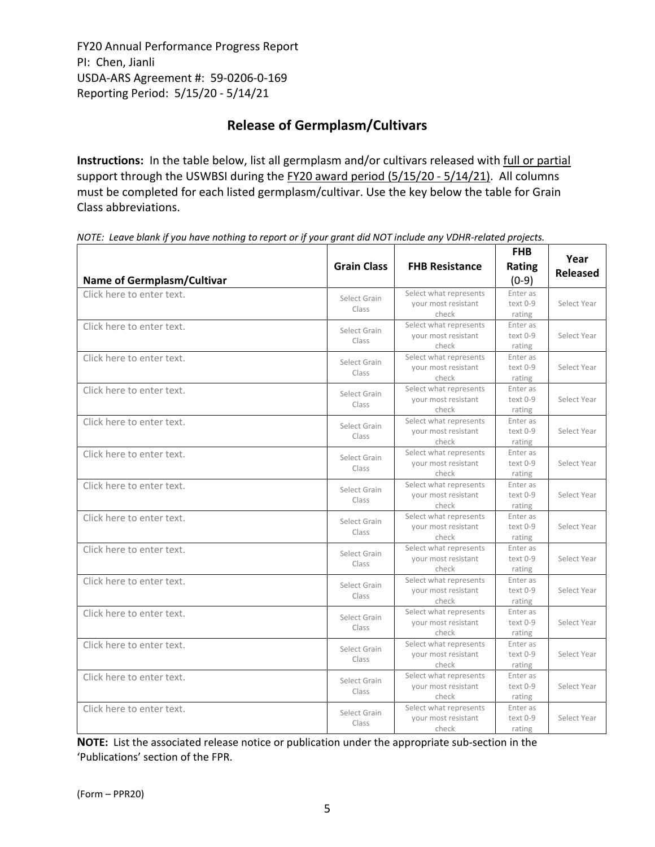# **Release of Germplasm/Cultivars**

**Instructions:** In the table below, list all germplasm and/or cultivars released with full or partial support through the USWBSI during the FY20 award period (5/15/20 - 5/14/21). All columns must be completed for each listed germplasm/cultivar. Use the key below the table for Grain Class abbreviations. 

| <b>Name of Germplasm/Cultivar</b> | <b>Grain Class</b>    | <b>FHB Resistance</b>                                  | <b>FHB</b><br>Rating<br>$(0-9)$ | Year<br><b>Released</b> |
|-----------------------------------|-----------------------|--------------------------------------------------------|---------------------------------|-------------------------|
| Click here to enter text.         | Select Grain<br>Class | Select what represents<br>your most resistant<br>check | Enter as<br>text 0-9<br>rating  | Select Year             |
| Click here to enter text.         | Select Grain<br>Class | Select what represents<br>your most resistant<br>check | Enter as<br>text 0-9<br>rating  | Select Year             |
| Click here to enter text.         | Select Grain<br>Class | Select what represents<br>your most resistant<br>check | Enter as<br>text 0-9<br>rating  | Select Year             |
| Click here to enter text.         | Select Grain<br>Class | Select what represents<br>your most resistant<br>check | Enter as<br>text 0-9<br>rating  | Select Year             |
| Click here to enter text.         | Select Grain<br>Class | Select what represents<br>your most resistant<br>check | Enter as<br>text 0-9<br>rating  | Select Year             |
| Click here to enter text.         | Select Grain<br>Class | Select what represents<br>your most resistant<br>check | Enter as<br>text 0-9<br>rating  | Select Year             |
| Click here to enter text.         | Select Grain<br>Class | Select what represents<br>your most resistant<br>check | Enter as<br>text 0-9<br>rating  | Select Year             |
| Click here to enter text.         | Select Grain<br>Class | Select what represents<br>your most resistant<br>check | Enter as<br>text 0-9<br>rating  | Select Year             |
| Click here to enter text.         | Select Grain<br>Class | Select what represents<br>your most resistant<br>check | Enter as<br>text 0-9<br>rating  | Select Year             |
| Click here to enter text.         | Select Grain<br>Class | Select what represents<br>your most resistant<br>check | Enter as<br>text 0-9<br>rating  | Select Year             |
| Click here to enter text.         | Select Grain<br>Class | Select what represents<br>your most resistant<br>check | Enter as<br>text 0-9<br>rating  | Select Year             |
| Click here to enter text.         | Select Grain<br>Class | Select what represents<br>vour most resistant<br>check | Enter as<br>text 0-9<br>rating  | Select Year             |
| Click here to enter text.         | Select Grain<br>Class | Select what represents<br>your most resistant<br>check | Enter as<br>text 0-9<br>rating  | Select Year             |
| Click here to enter text.         | Select Grain<br>Class | Select what represents<br>your most resistant<br>check | Enter as<br>text 0-9<br>rating  | Select Year             |

NOTE: Leave blank if you have nothing to report or if your grant did NOT include any VDHR-related projects.

**NOTE:** List the associated release notice or publication under the appropriate sub-section in the 'Publications' section of the FPR.